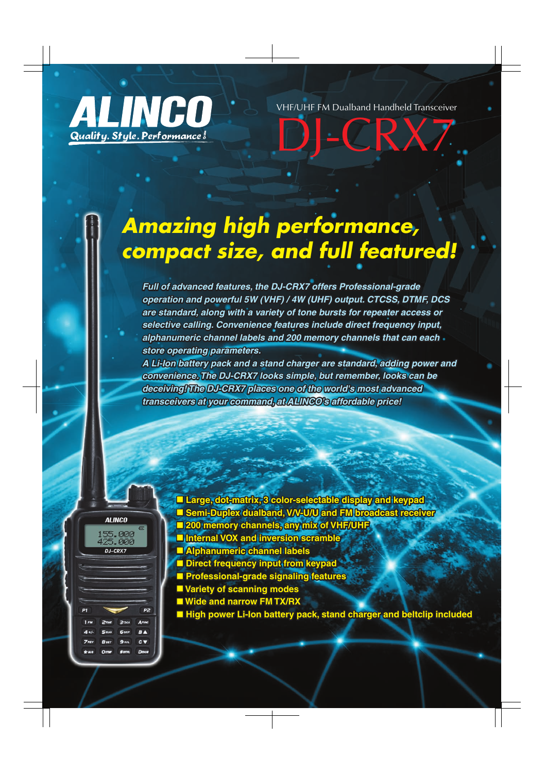

VHF/UHF FM Dualband Handheld Transceiver

L R X

# *Amazing high performance, compact size, and full featured!*

*Full of advanced features, the DJ-CRX7 offers Professional-grade operation and powerful 5W (VHF) / 4W (UHF) output. CTCSS, DTMF, DCS are standard, along with a variety of tone bursts for repeater access or selective calling. Convenience features include direct frequency input, alphanumeric channel labels and 200 memory channels that can each store operating parameters.* 

*A Li-Ion battery pack and a stand charger are standard, adding power and convenience. The DJ-CRX7 looks simple, but remember, looks can be deceiving! The DJ-CRX7 places one of the world's most advanced transceivers at your command, at ALINCO's affordable price!*



**■ Large, dot-matrix, 3 color-selectable display and keypad ■ Semi-Duplex dualband, V/V-U/U and FM broadcast receiver ■ 200 memory channels, any mix of VHF/UHF**  $\blacksquare$  Internal VOX and inversion scramble **■ Alphanumeric channel labels** ■ Direct frequency input from keypad **■ Professional-grade signaling features**  ■ Variety of scanning modes ■ Wide and narrow FM TX/RX ■ High power Li-Ion battery pack, stand charger and beltclip included